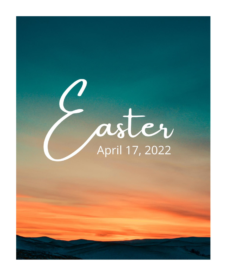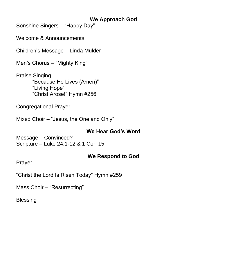### **We Approach God**

Sonshine Singers – "Happy Day"

Welcome & Announcements

Children's Message – Linda Mulder

Men's Chorus – "Mighty King"

Praise Singing "Because He Lives (Amen)" "Living Hope" "Christ Arose!" Hymn #256

Congregational Prayer

Mixed Choir – "Jesus, the One and Only"

### **We Hear God's Word**

Message – Convinced? Scripture – Luke 24:1-12 & 1 Cor. 15

### **We Respond to God**

Prayer

"Christ the Lord Is Risen Today" Hymn #259

Mass Choir – "Resurrecting"

**Blessing**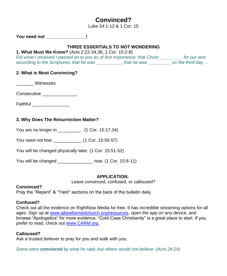# **Convinced?**

Luke 24:1-12 & 1 Cor. 15

**You need not \_\_\_\_\_\_\_\_\_\_\_\_\_\_\_\_!**

#### **THREE ESSENTIALS TO NOT WONDERING**

#### **1. What Must We Know?** (Acts 2:22-24,36; 1 Cor. 15:2-8)

*For what I received I passed on to you as of first importance: that Christ \_\_\_\_\_\_\_\_\_ for our sins according to the Scriptures, that he was \_\_\_\_\_\_\_\_\_\_, that he was \_\_\_\_\_\_\_\_\_ on the third day…*

#### **2. What is Most Convincing?**

\_\_\_\_\_\_\_ Witnesses

Consecutive **Example 20** 

| Faithful |  |
|----------|--|
|----------|--|

#### **3. Why Does The Resurrection Matter?**

You are no longer in \_\_\_\_\_\_\_\_\_. (1 Cor. 15:17,34)

You need not fear \_\_\_\_\_\_\_\_\_\_\_. (1 Cor. 15:55-57)

You will be changed physically later. (1 Cor. 15:51-52)

You will be changed \_\_\_\_\_\_\_\_\_\_\_\_\_\_ now. (1 Cor. 15:8-11)

#### **APPLICATION:**

Leave convinced, confused, or calloused?

#### **Convinced?**

Pray the "Repent" & "Yield" sections on the back of the bulletin daily.

#### **Confused?**

Check out all the evidence on RightNow Media for free. It has incredible streaming options for all ages. Sign up at [www.altoreformedchurch.org/resources,](https://nam12.safelinks.protection.outlook.com/?url=http%3A%2F%2Fwww.altoreformedchurch.org%2Fresources&data=04%7C01%7C%7C207e7387ac474a563fe808da1e24765b%7C84df9e7fe9f640afb435aaaaaaaaaaaa%7C1%7C0%7C637855439215595681%7CUnknown%7CTWFpbGZsb3d8eyJWIjoiMC4wLjAwMDAiLCJQIjoiV2luMzIiLCJBTiI6Ik1haWwiLCJXVCI6Mn0%3D%7C3000&sdata=FErlgl4PnfpvxvsU11hQ4mu7cHQHTXUKAUr7WuC5iE0%3D&reserved=0) open the app on any device, and browse "Apologetics" for more evidence. "Cold-Case Christianity" is a great place to start. If you prefer to read, check out [www.CARM.org.](https://nam12.safelinks.protection.outlook.com/?url=http%3A%2F%2Fwww.carm.org%2F&data=04%7C01%7C%7C207e7387ac474a563fe808da1e24765b%7C84df9e7fe9f640afb435aaaaaaaaaaaa%7C1%7C0%7C637855439215595681%7CUnknown%7CTWFpbGZsb3d8eyJWIjoiMC4wLjAwMDAiLCJQIjoiV2luMzIiLCJBTiI6Ik1haWwiLCJXVCI6Mn0%3D%7C3000&sdata=8cAbqoW0kaw%2BKOBu4X1ZhEbnGQL0WOTuo6oTiC6L0OE%3D&reserved=0)

#### **Calloused?**

Ask a trusted believer to pray for you and walk with you.

*Some were convinced by what he said, but others would not believe. (Acts 28:24)*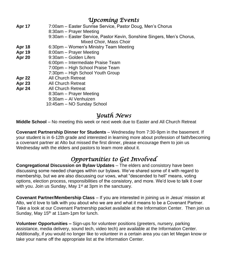## *Upcoming Events*

| <b>Apr 17</b> | 7:00am - Easter Sunrise Service, Pastor Doug, Men's Chorus             |
|---------------|------------------------------------------------------------------------|
|               | 8:30am – Prayer Meeting                                                |
|               | 9:30am – Easter Service, Pastor Kevin, Sonshine Singers, Men's Chorus, |
|               | Mixed Choir, Mass Choir                                                |
| Apr 18        | 6:30pm - Women's Ministry Team Meeting                                 |
| Apr 19        | 8:00am – Prayer Meeting                                                |
| Apr 20        | 9:30am - Golden Lifers                                                 |
|               | 6:00pm – Intermediate Praise Team                                      |
|               | 7:00pm - High School Praise Team                                       |
|               | 7:30pm - High School Youth Group                                       |
| Apr 22        | All Church Retreat                                                     |
| <b>Apr 23</b> | All Church Retreat                                                     |
| Apr 24        | All Church Retreat                                                     |
|               | 8:30am – Prayer Meeting                                                |
|               | 9:30am - Al Venhuizen                                                  |
|               | 10:45am – NO Sunday School                                             |

## *Youth News*

**Middle School** – No meeting this week or next week due to Easter and All Church Retreat

**Covenant Partnership Dinner for Students** – Wednesday from 7:30-9pm in the basement. If your student is in 6-12th grade and interested in learning more about profession of faith/becoming a covenant partner at Alto but missed the first dinner, please encourage them to join us Wednesday with the elders and pastors to learn more about it.

# *Opportunities to Get Involved*

**Congregational Discussion on Bylaw Updates** – The elders and consistory have been discussing some needed changes within our bylaws. We've shared some of it with regard to membership, but we are also discussing our vows, what "descended to hell" means, voting options, election process, responsibilities of the consistory, and more. We'd love to talk it over with you. Join us Sunday, May  $1<sup>st</sup>$  at 3pm in the sanctuary.

**Covenant Partner/Membership Class** – If you are interested in joining us in Jesus' mission at Alto, we'd love to talk with you about who we are and what it means to be a Covenant Partner. Take a look at our Covenant Partnership packet available at the Information Center. Then join us Sunday, May 15<sup>th</sup> at 11am-1pm for lunch.

**Volunteer Opportunities –** Sign-ups for volunteer positions (greeters, nursery, parking assistance, media delivery, sound tech, video tech) are available at the Information Center. Additionally, if you would no longer like to volunteer in a certain area you can let Megan know or take your name off the appropriate list at the Information Center.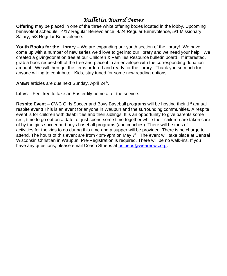# *Bulletin Board News*

**Offering** may be placed in one of the three white offering boxes located in the lobby. Upcoming benevolent schedule: 4/17 Regular Benevolence, 4/24 Regular Benevolence, 5/1 Missionary Salary, 5/8 Regular Benevolence.

**Youth Books for the Library** – We are expanding our youth section of the library! We have come up with a number of new series we'd love to get into our library and we need your help. We created a giving/donation tree at our Children & Families Resource bulletin board. If interested, grab a book request off of the tree and place it in an envelope with the corresponding donation amount. We will then get the items ordered and ready for the library. Thank you so much for anyone willing to contribute. Kids, stay tuned for some new reading options!

AMEN articles are due next Sunday, April 24<sup>th</sup>.

**Lilies –** Feel free to take an Easter lily home after the service.

**Respite Event** – CWC Girls Soccer and Boys Baseball programs will be hosting their 1<sup>st</sup> annual respite event! This is an event for anyone in Waupun and the surrounding communities. A respite event is for children with disabilities and their siblings. It is an opportunity to give parents some rest, time to go out on a date, or just spend some time together while their children are taken care of by the girls soccer and boys baseball programs (and coaches). There will be tons of activities for the kids to do during this time and a supper will be provided. There is no charge to attend. The hours of this event are from 4pm-9pm on May 7<sup>th</sup>. The event will take place at Central Wisconsin Christian in Waupun. Pre-Registration is required. There will be no walk-ins. If you have any questions, please email Coach Stuebs at [pstuebs@wearecwc.org.](mailto:pstuebs@wearecwc.org)